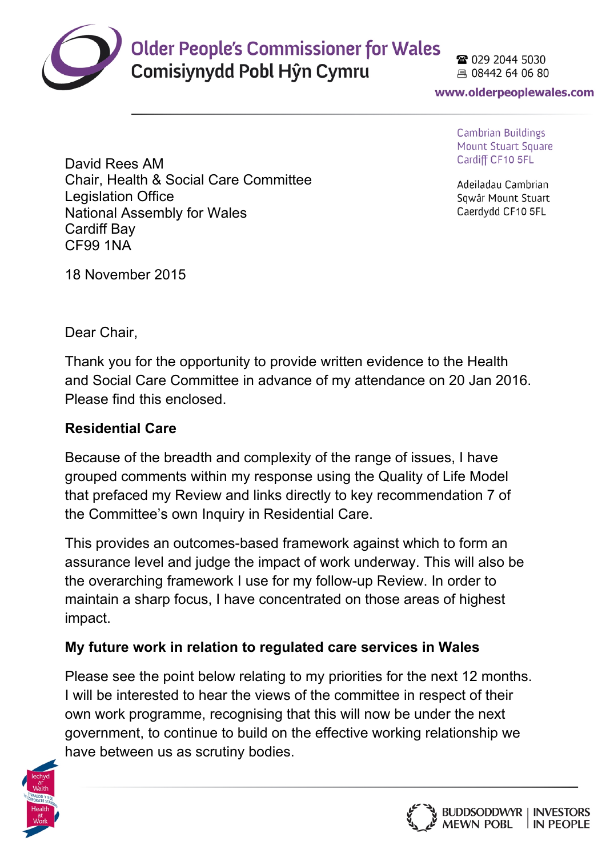

# **Older People's Commissioner for Wales**

Comisiynydd Pobl Hŷn Cymru

28 029 2044 5030 具 08442 64 06 80

www.olderpeoplewales.com

**Cambrian Buildings Mount Stuart Square** Cardiff CF10 5FL

Adeiladau Cambrian Sawâr Mount Stuart Caerdydd CF10 5FL

David Rees AM Chair, Health & Social Care Committee Legislation Office National Assembly for Wales Cardiff Bay CF99 1NA

18 November 2015

Dear Chair,

Thank you for the opportunity to provide written evidence to the Health and Social Care Committee in advance of my attendance on 20 Jan 2016. Please find this enclosed.

## **Residential Care**

Because of the breadth and complexity of the range of issues, I have grouped comments within my response using the Quality of Life Model that prefaced my Review and links directly to key recommendation 7 of the Committee's own Inquiry in Residential Care.

This provides an outcomes-based framework against which to form an assurance level and judge the impact of work underway. This will also be the overarching framework I use for my follow-up Review. In order to maintain a sharp focus, I have concentrated on those areas of highest impact.

## **My future work in relation to regulated care services in Wales**

Please see the point below relating to my priorities for the next 12 months. I will be interested to hear the views of the committee in respect of their own work programme, recognising that this will now be under the next government, to continue to build on the effective working relationship we have between us as scrutiny bodies.